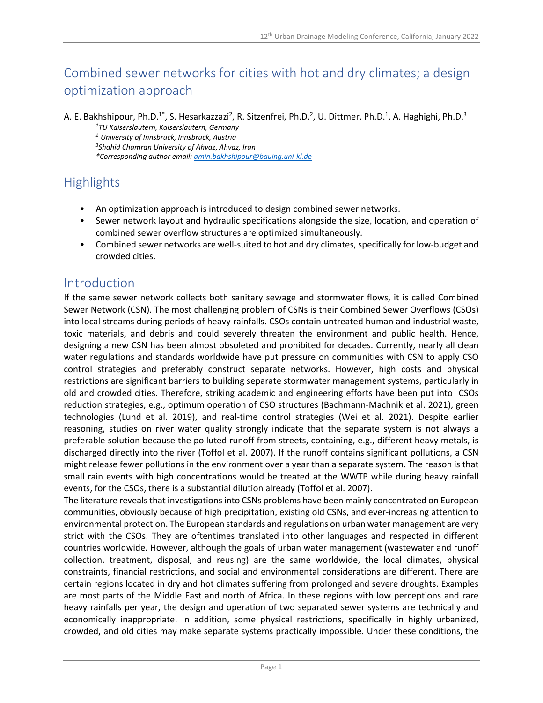# Combined sewer networks for cities with hot and dry climates; a design optimization approach

A. E. Bakhshipour, Ph.D.<sup>1\*</sup>, S. Hesarkazzazi<sup>2</sup>, R. Sitzenfrei, Ph.D.<sup>2</sup>, U. Dittmer, Ph.D.<sup>1</sup>, A. Haghighi, Ph.D.<sup>3</sup> *1TU Kaiserslautern, Kaiserslautern, Germany <sup>2</sup> University of Innsbruck, Innsbruck, Austria 3Shahid Chamran University of Ahvaz*, *Ahvaz, Iran \*Corresponding author email: amin.bakhshipour@bauing.uni-kl.de*

## **Highlights**

- An optimization approach is introduced to design combined sewer networks.
- Sewer network layout and hydraulic specifications alongside the size, location, and operation of combined sewer overflow structures are optimized simultaneously.
- Combined sewer networks are well-suited to hot and dry climates, specifically for low-budget and crowded cities.

### Introduction

If the same sewer network collects both sanitary sewage and stormwater flows, it is called Combined Sewer Network (CSN). The most challenging problem of CSNs is their Combined Sewer Overflows (CSOs) into local streams during periods of heavy rainfalls. CSOs contain untreated human and industrial waste, toxic materials, and debris and could severely threaten the environment and public health. Hence, designing a new CSN has been almost obsoleted and prohibited for decades. Currently, nearly all clean water regulations and standards worldwide have put pressure on communities with CSN to apply CSO control strategies and preferably construct separate networks. However, high costs and physical restrictions are significant barriers to building separate stormwater management systems, particularly in old and crowded cities. Therefore, striking academic and engineering efforts have been put into CSOs reduction strategies, e.g., optimum operation of CSO structures (Bachmann-Machnik et al. 2021), green technologies (Lund et al. 2019), and real-time control strategies (Wei et al. 2021). Despite earlier reasoning, studies on river water quality strongly indicate that the separate system is not always a preferable solution because the polluted runoff from streets, containing, e.g., different heavy metals, is discharged directly into the river (Toffol et al. 2007). If the runoff contains significant pollutions, a CSN might release fewer pollutions in the environment over a year than a separate system. The reason is that small rain events with high concentrations would be treated at the WWTP while during heavy rainfall events, for the CSOs, there is a substantial dilution already (Toffol et al. 2007).

The literature reveals that investigations into CSNs problems have been mainly concentrated on European communities, obviously because of high precipitation, existing old CSNs, and ever-increasing attention to environmental protection. The European standards and regulations on urban water management are very strict with the CSOs. They are oftentimes translated into other languages and respected in different countries worldwide. However, although the goals of urban water management (wastewater and runoff collection, treatment, disposal, and reusing) are the same worldwide, the local climates, physical constraints, financial restrictions, and social and environmental considerations are different. There are certain regions located in dry and hot climates suffering from prolonged and severe droughts. Examples are most parts of the Middle East and north of Africa. In these regions with low perceptions and rare heavy rainfalls per year, the design and operation of two separated sewer systems are technically and economically inappropriate. In addition, some physical restrictions, specifically in highly urbanized, crowded, and old cities may make separate systems practically impossible. Under these conditions, the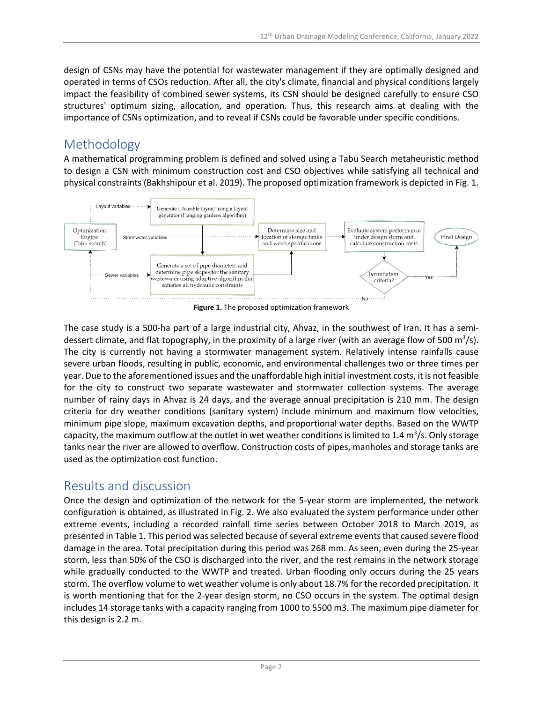design of CSNs may have the potential for wastewater management if they are optimally designed and operated in terms of CSOs reduction. After all, the city's climate, financial and physical conditions largely impact the feasibility of combined sewer systems, its CSN should be designed carefully to ensure CSO structures' optimum sizing, allocation, and operation. Thus, this research aims at dealing with the importance of CSNs optimization, and to reveal if CSNs could be favorable under specific conditions.

## Methodology

A mathematical programming problem is defined and solved using a Tabu Search metaheuristic method to design a CSN with minimum construction cost and CSO objectives while satisfying all technical and physical constraints (Bakhshipour et al. 2019). The proposed optimization framework is depicted in Fig. 1.



**Figure 1.** The proposed optimization framework

The case study is a 500-ha part of a large industrial city, Ahvaz, in the southwest of Iran. It has a semidessert climate, and flat topography, in the proximity of a large river (with an average flow of 500 m<sup>3</sup>/s). The city is currently not having a stormwater management system. Relatively intense rainfalls cause severe urban floods, resulting in public, economic, and environmental challenges two or three times per year. Due to the aforementioned issues and the unaffordable high initial investment costs, it is not feasible for the city to construct two separate wastewater and stormwater collection systems. The average number of rainy days in Ahvaz is 24 days, and the average annual precipitation is 210 mm. The design criteria for dry weather conditions (sanitary system) include minimum and maximum flow velocities, minimum pipe slope, maximum excavation depths, and proportional water depths. Based on the WWTP capacity, the maximum outflow at the outlet in wet weather conditions is limited to 1.4  $\text{m}^3\text{/s}$ . Only storage tanks near the river are allowed to overflow. Construction costs of pipes, manholes and storage tanks are used as the optimization cost function.

### Results and discussion

Once the design and optimization of the network for the 5-year storm are implemented, the network configuration is obtained, as illustrated in Fig. 2. We also evaluated the system performance under other extreme events, including a recorded rainfall time series between October 2018 to March 2019, as presented in Table 1. This period was selected because of several extreme events that caused severe flood damage in the area. Total precipitation during this period was 268 mm. As seen, even during the 25-year storm, less than 50% of the CSO is discharged into the river, and the rest remains in the network storage while gradually conducted to the WWTP and treated. Urban flooding only occurs during the 25 years storm. The overflow volume to wet weather volume is only about 18.7% for the recorded precipitation. It is worth mentioning that for the 2-year design storm, no CSO occurs in the system. The optimal design includes 14 storage tanks with a capacity ranging from 1000 to 5500 m3. The maximum pipe diameter for this design is 2.2 m.